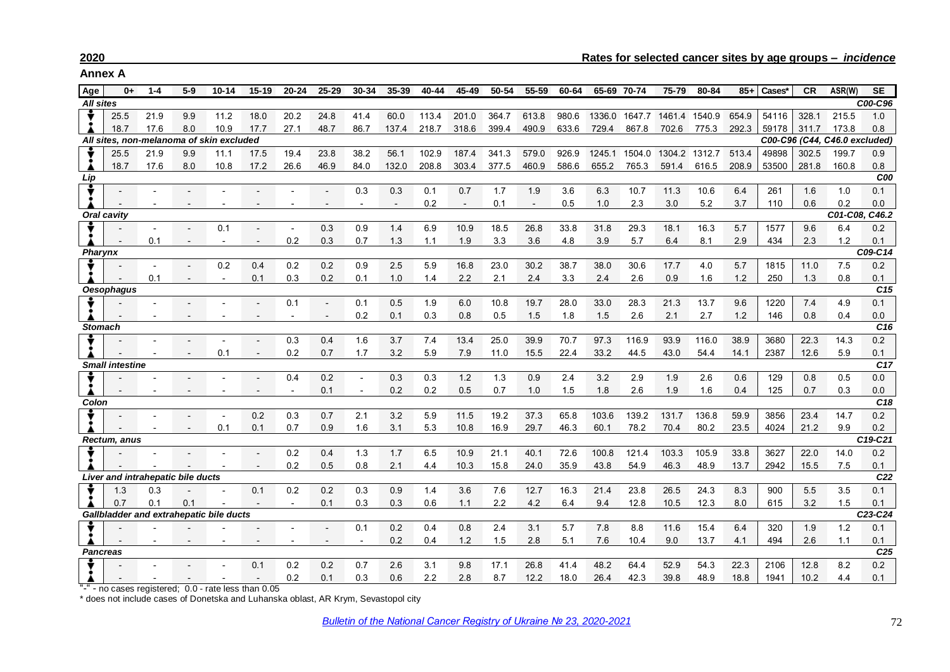**Annex A**

| Age                                                                                            | 0+                                | $1 - 4$ | $5-9$                    | $10 - 14$                                            | $15 - 19$                | $20 - 24$      | 25-29      | 30-34 | 35-39          | 40-44      | 45-49      | 50-54      | 55-59          | 60-64      | 65-69 70-74             |            | 75-79         | 80-84      | $85+$      | Cases*     | <b>CR</b>  | ASR(W)                        | <b>SE</b>       |
|------------------------------------------------------------------------------------------------|-----------------------------------|---------|--------------------------|------------------------------------------------------|--------------------------|----------------|------------|-------|----------------|------------|------------|------------|----------------|------------|-------------------------|------------|---------------|------------|------------|------------|------------|-------------------------------|-----------------|
| <b>All sites</b>                                                                               |                                   |         |                          |                                                      |                          |                |            |       |                |            |            |            |                |            |                         |            |               |            |            |            |            |                               | C00-C96         |
|                                                                                                | 25.5                              | 21.9    | 9.9                      | 11.2                                                 | 18.0                     | 20.2           | 24.8       | 41.4  | 60.0           | 113.4      | 201.0      | 364.7      | 613.8          | 980.6      | 1336.0                  | 1647.7     | 1461.4        | 1540.9     | 654.9      | 54116      | 328.1      | 215.5                         | 1.0             |
|                                                                                                | 18.7                              | 17.6    | 8.0                      | 10.9                                                 | 17.7                     | 27.1           | 48.7       | 86.7  | 137.4          | 218.7      | 318.6      | 399.4      | 490.9          | 633.6      | 729.4                   | 867.8      | 702.6         | 775.3      | 292.3      | 59178      | 311.7      | 173.8                         | 0.8             |
|                                                                                                |                                   |         |                          | All sites, non-melanoma of skin excluded             |                          |                |            |       |                |            |            |            |                |            |                         |            |               |            |            |            |            | C00-C96 (C44, C46.0 excluded) |                 |
|                                                                                                | 25.5                              | 21.9    | 9.9                      | 11.1                                                 | 17.5                     | 19.4           | 23.8       | 38.2  | 56.1           | 102.9      | 187.4      | 341.3      | 579.0          | 926.9      | 1245.1                  | 1504.0     | 1304.2 1312.7 |            | 513.4      | 49898      | 302.5      | 199.7                         | 0.9             |
|                                                                                                | 18.7                              | 17.6    | 8.0                      | 10.8                                                 | 17.2                     | 26.6           | 46.9       | 84.0  | 132.0          | 208.8      | 303.4      | 377.5      | 460.9          | 586.6      | 655.2                   | 765.3      | 591.4         | 616.5      | 208.9      | 53500      | 281.8      | 160.8                         | 0.8             |
| Lip                                                                                            |                                   |         |                          |                                                      |                          |                |            |       |                |            |            |            |                |            |                         | C00        |               |            |            |            |            |                               |                 |
|                                                                                                |                                   |         |                          |                                                      |                          |                |            | 0.3   | 0.3            | 0.1        | 0.7        | 1.7        | 1.9            | 3.6        | 6.3                     | 10.7       | 11.3          | 10.6       | 6.4        | 261        | 1.6        | 1.0                           | 0.1             |
|                                                                                                |                                   |         |                          |                                                      |                          |                |            |       | $\overline{a}$ | 0.2        | $\sim$     | 0.1        | $\blacksquare$ | 0.5        | 1.0                     | 2.3        | 3.0           | 5.2        | 3.7        | 110        | 0.6        | 0.2                           | 0.0             |
|                                                                                                | <b>Oral cavity</b>                |         |                          |                                                      |                          |                |            |       |                |            |            |            |                |            |                         |            |               |            |            |            |            | C01-C08, C46.2                |                 |
|                                                                                                |                                   |         |                          | 0.1                                                  |                          |                | 0.3        | 0.9   | 1.4            | 6.9        | 10.9       | 18.5       | 26.8           | 33.8       | 31.8                    | 29.3       | 18.1          | 16.3       | 5.7        | 1577       | 9.6        | 6.4                           | 0.2             |
|                                                                                                |                                   | 0.1     |                          |                                                      |                          | 0.2            | 0.3        | 0.7   | 1.3            | 1.1        | 1.9        | 3.3        | 3.6            | 4.8        | 3.9                     | 5.7        | 6.4           | 8.1        | 2.9        | 434        | 2.3        | 1.2                           | 0.1             |
| <b>Pharynx</b>                                                                                 |                                   |         |                          |                                                      |                          |                |            |       |                |            |            |            |                |            |                         |            |               |            |            |            |            |                               | C09-C14         |
|                                                                                                |                                   |         | $\overline{\phantom{a}}$ | 0.2                                                  | 0.4                      | 0.2            | 0.2        | 0.9   | 2.5            | 5.9        | 16.8       | 23.0       | 30.2           | 38.7       | 38.0                    | 30.6       | 17.7          | 4.0        | 5.7        | 1815       | 11.0       | 7.5                           | 0.2             |
|                                                                                                |                                   | 0.1     | $\blacksquare$           | $\blacksquare$                                       | 0.1                      | 0.3            | 0.2        | 0.1   | 1.0            | 1.4        | 2.2        | 2.1        | 2.4            | 3.3        | 2.4                     | 2.6        | 0.9           | 1.6        | 1.2        | 250        | 1.3        | 0.8                           | 0.1             |
|                                                                                                | <b>Oesophagus</b>                 |         |                          |                                                      |                          |                |            |       |                |            |            |            |                |            |                         |            |               |            |            |            |            |                               | C <sub>15</sub> |
|                                                                                                |                                   |         |                          |                                                      |                          | 0.1            |            | 0.1   | 0.5            | 1.9        | 6.0        | 10.8       | 19.7           | 28.0       | 33.0                    | 28.3       | 21.3          | 13.7       | 9.6        | 1220       | 7.4        | 4.9                           | 0.1             |
| 0.2<br>0.3<br>1.2<br>146<br>0.8<br>0.5<br>1.5<br>1.8<br>1.5<br>2.6<br>2.1<br>2.7<br>0.8<br>0.1 |                                   |         |                          |                                                      |                          |                |            |       |                |            |            |            |                | 0.4        | 0.0<br>$\overline{C16}$ |            |               |            |            |            |            |                               |                 |
| <b>Stomach</b>                                                                                 |                                   |         |                          |                                                      |                          |                |            |       |                |            |            |            |                |            |                         |            |               |            |            |            |            |                               |                 |
|                                                                                                |                                   |         |                          |                                                      |                          | 0.3            | 0.4        | 1.6   | 3.7            | 7.4        | 13.4       | 25.0       | 39.9           | 70.7       | 97.3                    | 116.9      | 93.9          | 116.0      | 38.9       | 3680       | 22.3       | 14.3                          | 0.2             |
|                                                                                                |                                   |         |                          | 0.1                                                  | $\overline{\phantom{a}}$ | 0.2            | 0.7        | 1.7   | 3.2            | 5.9        | 7.9        | 11.0       | 15.5           | 22.4       | 33.2                    | 44.5       | 43.0          | 54.4       | 14.1       | 2387       | 12.6       | 5.9                           | 0.1<br>C17      |
| <b>Small intestine</b>                                                                         |                                   |         |                          |                                                      |                          |                |            |       |                |            |            |            |                |            |                         |            |               |            |            |            |            |                               |                 |
|                                                                                                |                                   |         |                          |                                                      |                          | 0.4            | 0.2<br>0.1 |       | 0.3<br>0.2     | 0.3<br>0.2 | 1.2<br>0.5 | 1.3<br>0.7 | 0.9<br>1.0     | 2.4<br>1.5 | 3.2<br>1.8              | 2.9<br>2.6 | 1.9<br>1.9    | 2.6<br>1.6 | 0.6<br>0.4 | 129<br>125 | 0.8<br>0.7 | 0.5<br>0.3                    | 0.0<br>0.0      |
| Colon                                                                                          |                                   |         |                          |                                                      |                          |                |            |       |                |            |            |            |                |            |                         |            |               |            |            |            |            |                               | C18             |
|                                                                                                |                                   |         |                          |                                                      | 0.2                      | 0.3            | 0.7        | 2.1   | 3.2            | 5.9        | 11.5       | 19.2       | 37.3           | 65.8       | 103.6                   | 139.2      | 131.7         | 136.8      | 59.9       | 3856       | 23.4       | 14.7                          | 0.2             |
|                                                                                                |                                   |         |                          | 0.1                                                  | 0.1                      | 0.7            | 0.9        | 1.6   | 3.1            | 5.3        | 10.8       | 16.9       | 29.7           | 46.3       | 60.1                    | 78.2       | 70.4          | 80.2       | 23.5       | 4024       | 21.2       | 9.9                           | 0.2             |
|                                                                                                | Rectum, anus                      |         |                          |                                                      |                          |                |            |       |                |            |            |            |                |            |                         |            |               |            |            |            |            |                               | C19-C21         |
|                                                                                                |                                   |         |                          |                                                      |                          | 0.2            | 0.4        | 1.3   | 1.7            | 6.5        | 10.9       | 21.1       | 40.1           | 72.6       | 100.8                   | 121.4      | 103.3         | 105.9      | 33.8       | 3627       | 22.0       | 14.0                          | 0.2             |
|                                                                                                |                                   |         |                          |                                                      |                          | 0.2            | 0.5        | 0.8   | 2.1            | 4.4        | 10.3       | 15.8       | 24.0           | 35.9       | 43.8                    | 54.9       | 46.3          | 48.9       | 13.7       | 2942       | 15.5       | 7.5                           | 0.1             |
|                                                                                                | Liver and intrahepatic bile ducts |         |                          |                                                      |                          |                |            |       |                |            |            |            |                |            |                         |            |               |            |            |            |            |                               | C <sub>22</sub> |
|                                                                                                | 1.3                               | 0.3     |                          |                                                      | 0.1                      | 0.2            | 0.2        | 0.3   | 0.9            | 1.4        | 3.6        | 7.6        | 12.7           | 16.3       | 21.4                    | 23.8       | 26.5          | 24.3       | 8.3        | 900        | 5.5        | 3.5                           | 0.1             |
|                                                                                                | 0.7                               | 0.1     | 0.1                      |                                                      | $\overline{\phantom{a}}$ | $\blacksquare$ | 0.1        | 0.3   | 0.3            | 0.6        | 1.1        | 2.2        | 4.2            | 6.4        | 9.4                     | 12.8       | 10.5          | 12.3       | 8.0        | 615        | 3.2        | 1.5                           | 0.1             |
|                                                                                                |                                   |         |                          | Gallbladder and extrahepatic bile ducts              |                          |                |            |       |                |            |            |            |                |            |                         |            |               |            |            |            |            |                               | C23-C24         |
|                                                                                                |                                   |         |                          |                                                      |                          |                |            | 0.1   | 0.2            | 0.4        | 0.8        | 2.4        | 3.1            | 5.7        | 7.8                     | 8.8        | 11.6          | 15.4       | 6.4        | 320        | 1.9        | 1.2                           | 0.1             |
|                                                                                                |                                   |         |                          |                                                      |                          |                |            |       | 0.2            | 0.4        | 1.2        | 1.5        | 2.8            | 5.1        | 7.6                     | 10.4       | 9.0           | 13.7       | 4.1        | 494        | 2.6        | 1.1                           | 0.1             |
| <b>Pancreas</b>                                                                                |                                   |         |                          |                                                      |                          |                |            |       |                |            |            |            |                |            |                         |            |               |            |            |            |            |                               | C <sub>25</sub> |
|                                                                                                |                                   |         |                          |                                                      | 0.1                      | 0.2            | 0.2        | 0.7   | 2.6            | 3.1        | 9.8        | 17.1       | 26.8           | 41.4       | 48.2                    | 64.4       | 52.9          | 54.3       | 22.3       | 2106       | 12.8       | 8.2                           | 0.2             |
|                                                                                                |                                   |         |                          |                                                      |                          | 0.2            | 0.1        | 0.3   | 0.6            | 2.2        | 2.8        | 8.7        | 12.2           | 18.0       | 26.4                    | 42.3       | 39.8          | 48.9       | 18.8       | 1941       | 10.2       | 4.4                           | 0.1             |
|                                                                                                |                                   |         |                          | "-" - no cases registered; 0.0 - rate less than 0.05 |                          |                |            |       |                |            |            |            |                |            |                         |            |               |            |            |            |            |                               |                 |

\* does not include cases of Donetska and Luhanska oblast, AR Krym, Sevastopol city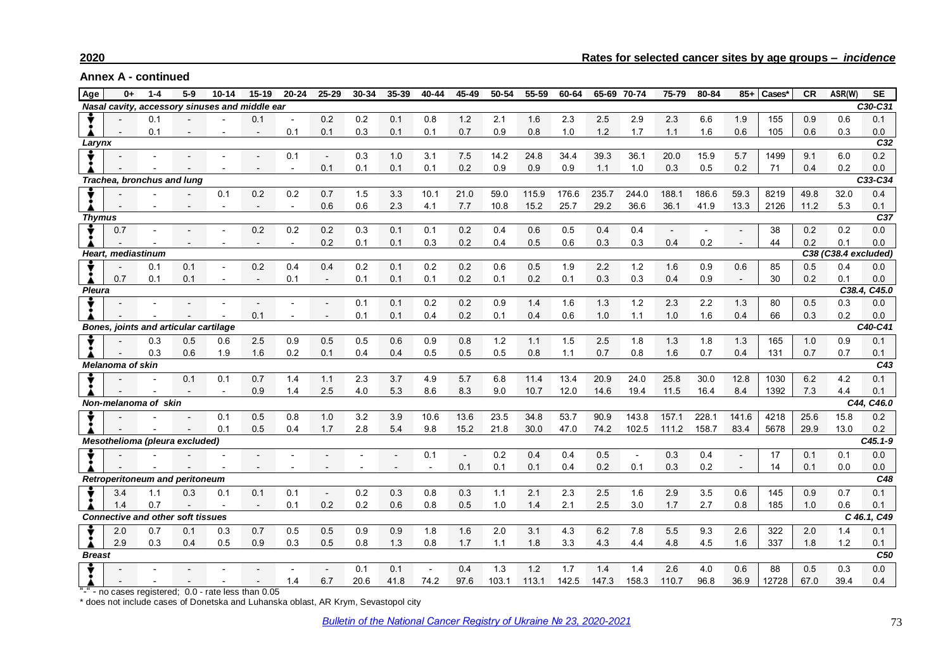## **2020 Rates for selected cancer sites by age groups –** *incidence*

**Annex A - continued**

| Age                                   | $0+$               | $1 - 4$                                  | $5 - 9$        | $10 - 14$                                      | $15 - 19$                | $20 - 24$                | $25 - 29$ | 30-34 | 35-39          | 40-44                    | 45-49          | 50-54 | 55-59 | 60-64 | 65-69 | 70-74          | 75-79                    | 80-84           | $85+$                    | Cases* | CR   | ASR(W)               | <b>SE</b>   |
|---------------------------------------|--------------------|------------------------------------------|----------------|------------------------------------------------|--------------------------|--------------------------|-----------|-------|----------------|--------------------------|----------------|-------|-------|-------|-------|----------------|--------------------------|-----------------|--------------------------|--------|------|----------------------|-------------|
|                                       |                    |                                          |                | Nasal cavity, accessory sinuses and middle ear |                          |                          |           |       |                |                          |                |       |       |       |       |                |                          |                 |                          |        |      |                      | C30-C31     |
|                                       |                    | 0.1                                      |                |                                                | 0.1                      | $\blacksquare$           | 0.2       | 0.2   | 0.1            | 0.8                      | 1.2            | 2.1   | 1.6   | 2.3   | 2.5   | 2.9            | 2.3                      | 6.6             | 1.9                      | 155    | 0.9  | 0.6                  | 0.1         |
|                                       |                    | 0.1                                      | $\blacksquare$ |                                                |                          | 0.1                      | 0.1       | 0.3   | 0.1            | 0.1                      | 0.7            | 0.9   | 0.8   | 1.0   | 1.2   | 1.7            | 1.1                      | 1.6             | 0.6                      | 105    | 0.6  | 0.3                  | 0.0         |
| Larynx                                |                    |                                          |                |                                                |                          |                          |           |       |                |                          |                |       |       |       |       |                |                          | C <sub>32</sub> |                          |        |      |                      |             |
|                                       |                    |                                          |                |                                                |                          | 0.1                      |           | 0.3   | 1.0            | 3.1                      | 7.5            | 14.2  | 24.8  | 34.4  | 39.3  | 36.1           | 20.0                     | 15.9            | 5.7                      | 1499   | 9.1  | 6.0                  | 0.2         |
|                                       |                    |                                          |                |                                                |                          | $\overline{\phantom{0}}$ | 0.1       | 0.1   | 0.1            | 0.1                      | 0.2            | 0.9   | 0.9   | 0.9   | 1.1   | 1.0            | 0.3                      | 0.5             | 0.2                      | 71     | 0.4  | 0.2                  | 0.0         |
| Trachea, bronchus and lung            |                    |                                          |                |                                                |                          |                          |           |       |                |                          |                |       |       |       |       |                | C33-C34                  |                 |                          |        |      |                      |             |
|                                       |                    |                                          |                | 0.1                                            | 0.2                      | 0.2                      | 0.7       | 1.5   | 3.3            | 10.1                     | 21.0           | 59.0  | 115.9 | 176.6 | 235.7 | 244.0          | 188.1                    | 186.6           | 59.3                     | 8219   | 49.8 | 32.0                 | 0.4         |
|                                       |                    |                                          |                | $\blacksquare$                                 |                          | $\sim$                   | 0.6       | 0.6   | 2.3            | 4.1                      | 7.7            | 10.8  | 15.2  | 25.7  | 29.2  | 36.6           | 36.1                     | 41.9            | 13.3                     | 2126   | 11.2 | 5.3                  | 0.1         |
| <b>Thymus</b>                         |                    |                                          |                |                                                |                          |                          |           |       |                |                          |                |       |       |       |       |                |                          |                 |                          |        |      |                      | C37         |
|                                       | 0.7                |                                          |                |                                                | 0.2                      | 0.2                      | 0.2       | 0.3   | 0.1            | 0.1                      | 0.2            | 0.4   | 0.6   | 0.5   | 0.4   | 0.4            | $\overline{\phantom{a}}$ |                 |                          | 38     | 0.2  | 0.2                  | 0.0         |
|                                       |                    |                                          |                |                                                | $\overline{\phantom{a}}$ | $\overline{\phantom{a}}$ | 0.2       | 0.1   | 0.1            | 0.3                      | 0.2            | 0.4   | 0.5   | 0.6   | 0.3   | 0.3            | 0.4                      | 0.2             |                          | 44     | 0.2  | 0.1                  | 0.0         |
|                                       | Heart, mediastinum |                                          |                |                                                |                          |                          |           |       |                |                          |                |       |       |       |       |                |                          |                 |                          |        |      | C38 (C38.4 excluded) |             |
|                                       |                    | 0.1                                      | 0.1            | $\overline{a}$                                 | 0.2                      | 0.4                      | 0.4       | 0.2   | 0.1            | 0.2                      | 0.2            | 0.6   | 0.5   | 1.9   | 2.2   | 1.2            | 1.6                      | 0.9             | 0.6                      | 85     | 0.5  | 0.4                  | 0.0         |
|                                       | 0.7                | 0.1                                      | 0.1            | $\blacksquare$                                 |                          | 0.1                      |           | 0.1   | 0.1            | 0.1                      | 0.2            | 0.1   | 0.2   | 0.1   | 0.3   | 0.3            | 0.4                      | 0.9             | $\overline{\phantom{a}}$ | 30     | 0.2  | 0.1                  | 0.0         |
| <b>Pleura</b>                         |                    |                                          |                |                                                |                          |                          |           |       |                |                          |                |       |       |       |       |                |                          |                 |                          |        |      | C38.4.               | C45.0       |
|                                       |                    |                                          |                |                                                |                          |                          |           | 0.1   | 0.1            | 0.2                      | 0.2            | 0.9   | 1.4   | 1.6   | 1.3   | 1.2            | 2.3                      | 2.2             | 1.3                      | 80     | 0.5  | 0.3                  | 0.0         |
|                                       |                    |                                          |                |                                                | 0.1                      |                          |           | 0.1   | 0.1            | 0.4                      | 0.2            | 0.1   | 0.4   | 0.6   | 1.0   | 1.1            | 1.0                      | 1.6             | 0.4                      | 66     | 0.3  | 0.2                  | 0.0         |
| Bones, joints and articular cartilage |                    |                                          |                |                                                |                          |                          |           |       |                |                          |                |       |       |       |       |                | C40-C41                  |                 |                          |        |      |                      |             |
|                                       |                    | 0.3                                      | 0.5            | 0.6                                            | 2.5                      | 0.9                      | 0.5       | 0.5   | 0.6            | 0.9                      | 0.8            | 1.2   | 1.1   | 1.5   | 2.5   | 1.8            | 1.3                      | 1.8             | 1.3                      | 165    | 1.0  | 0.9                  | 0.1         |
|                                       |                    | 0.3                                      | 0.6            | 1.9                                            | 1.6                      | 0.2                      | 0.1       | 0.4   | 0.4            | 0.5                      | 0.5            | 0.5   | 0.8   | 1.1   | 0.7   | 0.8            | 1.6                      | 0.7             | 0.4                      | 131    | 0.7  | 0.7                  | 0.1         |
| <b>Melanoma of skin</b>               |                    |                                          |                |                                                |                          |                          |           |       |                |                          |                |       |       |       |       | C43            |                          |                 |                          |        |      |                      |             |
|                                       |                    |                                          | 0.1            | 0.1                                            | 0.7                      | 1.4                      | 1.1       | 2.3   | 3.7            | 4.9                      | 5.7            | 6.8   | 11.4  | 13.4  | 20.9  | 24.0           | 25.8                     | 30.0            | 12.8                     | 1030   | 6.2  | 4.2                  | 0.1         |
|                                       |                    |                                          |                |                                                | 0.9                      | 1.4                      | 2.5       | 4.0   | 5.3            | 8.6                      | 8.3            | 9.0   | 10.7  | 12.0  | 14.6  | 19.4           | 11.5                     | 16.4            | 8.4                      | 1392   | 7.3  | 4.4                  | 0.1         |
|                                       |                    | Non-melanoma of skin                     |                |                                                |                          |                          |           |       |                |                          |                |       |       |       |       |                |                          |                 |                          |        |      |                      | C44, C46.0  |
|                                       |                    |                                          |                | 0.1                                            | 0.5                      | 0.8                      | 1.0       | 3.2   | 3.9            | 10.6                     | 13.6           | 23.5  | 34.8  | 53.7  | 90.9  | 143.8          | 157.1                    | 228.1           | 141.6                    | 4218   | 25.6 | 15.8                 | 0.2         |
|                                       |                    |                                          |                | 0.1                                            | 0.5                      | 0.4                      | 1.7       | 2.8   | 5.4            | 9.8                      | 15.2           | 21.8  | 30.0  | 47.0  | 74.2  | 102.5          | 111.2                    | 158.7           | 83.4                     | 5678   | 29.9 | 13.0                 | 0.2         |
|                                       |                    | Mesothelioma (pleura excluded)           |                |                                                |                          |                          |           |       |                |                          |                |       |       |       |       |                |                          |                 |                          |        |      |                      | $C45.1 - 9$ |
|                                       |                    |                                          |                |                                                |                          |                          |           |       |                | 0.1                      | $\blacksquare$ | 0.2   | 0.4   | 0.4   | 0.5   | $\overline{a}$ | 0.3                      | 0.4             |                          | 17     | 0.1  | 0.1                  | 0.0         |
|                                       |                    |                                          |                |                                                |                          |                          |           |       | $\blacksquare$ | $\overline{\phantom{a}}$ | 0.1            | 0.1   | 0.1   | 0.4   | 0.2   | 0.1            | 0.3                      | 0.2             | $\blacksquare$           | 14     | 0.1  | 0.0                  | 0.0         |
|                                       |                    | <b>Retroperitoneum and peritoneum</b>    |                |                                                |                          |                          |           |       |                |                          |                |       |       |       |       |                |                          |                 |                          |        |      |                      | C48         |
|                                       | 3.4                | 1.1                                      | 0.3            | 0.1                                            | 0.1                      | 0.1                      |           | 0.2   | 0.3            | 0.8                      | 0.3            | 1.1   | 2.1   | 2.3   | 2.5   | 1.6            | 2.9                      | 3.5             | 0.6                      | 145    | 0.9  | 0.7                  | 0.1         |
|                                       | 1.4                | 0.7                                      |                |                                                | $\overline{\phantom{a}}$ | 0.1                      | 0.2       | 0.2   | 0.6            | 0.8                      | 0.5            | 1.0   | 1.4   | 2.1   | 2.5   | 3.0            | 1.7                      | 2.7             | 0.8                      | 185    | 1.0  | 0.6                  | 0.1         |
|                                       |                    | <b>Connective and other soft tissues</b> |                |                                                |                          |                          |           |       |                |                          |                |       |       |       |       |                |                          |                 |                          |        |      |                      | C 46.1, C49 |
|                                       | 2.0                | 0.7                                      | 0.1            | 0.3                                            | 0.7                      | 0.5                      | 0.5       | 0.9   | 0.9            | 1.8                      | 1.6            | 2.0   | 3.1   | 4.3   | 6.2   | 7.8            | 5.5                      | 9.3             | 2.6                      | 322    | 2.0  | 1.4                  | 0.1         |
|                                       | 2.9                | 0.3                                      | 0.4            | 0.5                                            | 0.9                      | 0.3                      | 0.5       | 0.8   | 1.3            | 0.8                      | 1.7            | 1.1   | 1.8   | 3.3   | 4.3   | 4.4            | 4.8                      | 4.5             | 1.6                      | 337    | 1.8  | 1.2                  | 0.1         |
| <b>Breast</b>                         |                    |                                          |                |                                                |                          |                          |           |       |                |                          |                |       |       |       |       |                |                          |                 |                          |        |      |                      | C50         |
|                                       |                    |                                          |                |                                                |                          |                          |           | 0.1   | 0.1            | $\sim$                   | 0.4            | 1.3   | 1.2   | 1.7   | 1.4   | 1.4            | 2.6                      | 4.0             | 0.6                      | 88     | 0.5  | 0.3                  | 0.0         |
|                                       |                    |                                          |                |                                                |                          | 1.4                      | 6.7       | 20.6  | 41.8           | 74.2                     | 97.6           | 103.1 | 113.1 | 142.5 | 147.3 | 158.3          | 110.7                    | 96.8            | 36.9                     | 12728  | 67.0 | 39.4                 | 0.4         |
|                                       |                    |                                          |                |                                                |                          |                          |           |       |                |                          |                |       |       |       |       |                |                          |                 |                          |        |      |                      |             |

"-" - no cases registered; 0.0 - rate less than 0.05

\* does not include cases of Donetska and Luhanska oblast, AR Krym, Sevastopol city

*Bulletin of the [National Cancer Registry of Ukraine № 2](http://www.ncru.inf.ua/publications/BULL_23/index_e.htm)3, 2020-2021 73*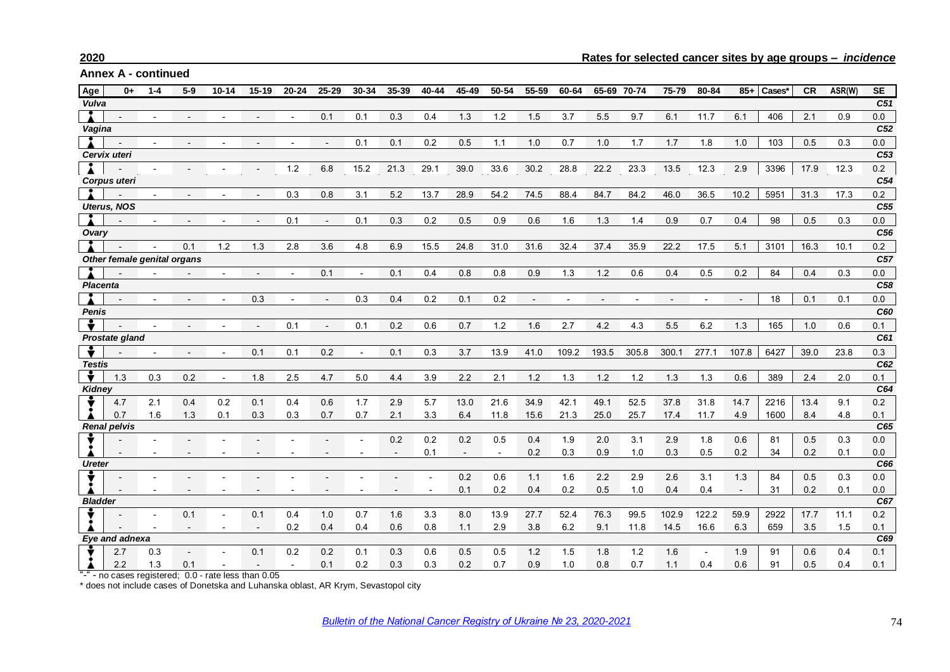**Annex A - continued**

| Age             | $0+$                        | 1-4 | $5-9$ | $10 - 14$ | $15 - 19$                | 20-24      | $25 - 29$      | 30-34          | 35-39 | 40-44 | 45-49  | 50-54          | 55-59 | 60-64       | 65-69       | 70-74 | 75-79 | 80-84 | $85+$                    | Cases*      | <b>CR</b> | ASR(W)      | <b>SE</b>       |
|-----------------|-----------------------------|-----|-------|-----------|--------------------------|------------|----------------|----------------|-------|-------|--------|----------------|-------|-------------|-------------|-------|-------|-------|--------------------------|-------------|-----------|-------------|-----------------|
| Vulva           |                             |     |       |           |                          |            |                |                |       |       |        |                |       |             |             |       |       |       |                          |             |           |             | C51             |
|                 |                             |     |       |           |                          |            | 0.1            | 0.1            | 0.3   | 0.4   | 1.3    | 1.2            | 1.5   | 3.7         | 5.5         | 9.7   | 6.1   | 11.7  | 6.1                      | 406         | 2.1       | 0.9         | 0.0             |
| Vagina          |                             |     |       |           |                          |            |                |                |       |       |        |                |       |             |             |       |       |       |                          |             |           |             | C52             |
|                 |                             |     |       |           |                          |            |                | 0.1            | 0.1   | 0.2   | 0.5    | 1.1            | 1.0   | 0.7         | 1.0         | 1.7   | 1.7   | 1.8   | 1.0                      | 103         | 0.5       | 0.3         | 0.0             |
|                 | Cervix uteri                |     |       |           |                          |            |                |                |       |       |        |                |       |             |             |       |       |       |                          |             |           |             | C53             |
|                 |                             |     |       |           |                          | 1.2        | 6.8            | 15.2           | 21.3  | 29.1  | 39.0   | 33.6           | 30.2  | 28.8        | 22.2        | 23.3  | 13.5  | 12.3  | 2.9                      | 3396        | 17.9      | 12.3        | 0.2             |
|                 | Corpus uteri                |     |       |           |                          |            |                |                |       |       |        |                |       |             |             |       |       |       |                          |             |           |             | C54             |
|                 |                             |     |       |           | $\overline{\phantom{a}}$ | 0.3        | 0.8            | 3.1            | 5.2   | 13.7  | 28.9   | 54.2           | 74.5  | 88.4        | 84.7        | 84.2  | 46.0  | 36.5  | 10.2                     | 5951        | 31.3      | 17.3        | 0.2             |
|                 | <b>Uterus, NOS</b>          |     |       |           |                          |            |                |                |       |       |        |                |       |             |             |       |       |       |                          |             |           |             | C <sub>55</sub> |
|                 |                             |     |       |           |                          | 0.1        | $\blacksquare$ | 0.1            | 0.3   | 0.2   | 0.5    | 0.9            | 0.6   | 1.6         | 1.3         | 1.4   | 0.9   | 0.7   | 0.4                      | 98          | 0.5       | 0.3         | 0.0             |
| Ovary           |                             |     |       |           |                          |            |                |                |       |       |        |                |       |             |             |       |       |       |                          |             |           |             | C56             |
|                 |                             |     | 0.1   | 1.2       | 1.3                      | 2.8        | 3.6            | 4.8            | 6.9   | 15.5  | 24.8   | 31.0           | 31.6  | 32.4        | 37.4        | 35.9  | 22.2  | 17.5  | 5.1                      | 3101        | 16.3      | 10.1        | 0.2             |
|                 | Other female genital organs |     |       |           |                          |            |                |                |       |       |        |                |       |             |             |       |       |       |                          |             |           |             | C <sub>57</sub> |
|                 |                             |     |       |           |                          |            | 0.1            | $\overline{a}$ | 0.1   | 0.4   | 0.8    | 0.8            | 0.9   | 1.3         | $1.2$       | 0.6   | 0.4   | 0.5   | 0.2                      | 84          | 0.4       | 0.3         | 0.0             |
| <b>Placenta</b> |                             |     |       |           |                          |            |                |                |       |       |        |                |       |             |             |       |       |       |                          |             |           |             | C <sub>58</sub> |
|                 |                             |     |       |           | 0.3                      |            |                | 0.3            | 0.4   | 0.2   | 0.1    | 0.2            |       |             |             |       |       |       |                          | 18          | 0.1       | 0.1         | 0.0             |
| <b>Penis</b>    |                             |     |       |           |                          |            |                |                |       |       |        |                |       |             | C60         |       |       |       |                          |             |           |             |                 |
|                 |                             |     |       |           |                          | 0.1        |                | 0.1            | 0.2   | 0.6   | 0.7    | 1.2            | 1.6   | 2.7         | 4.2         | 4.3   | 5.5   | 6.2   | 1.3                      | 165         | 1.0       | 0.6         | 0.1             |
|                 | Prostate gland              |     |       |           |                          |            |                |                |       |       |        |                |       |             |             |       |       |       |                          |             |           |             | C61             |
|                 |                             |     |       |           | 0.1                      | 0.1        | 0.2            |                | 0.1   | 0.3   | 3.7    | 13.9           | 41.0  | 109.2       | 193.5       | 305.8 | 300.1 | 277.1 | 107.8                    | 6427        | 39.0      | 23.8        | 0.3             |
| <b>Testis</b>   |                             |     |       |           |                          |            |                |                |       |       |        |                |       |             |             |       |       |       |                          |             |           |             | C62             |
| $\bullet$       | 1.3                         | 0.3 | 0.2   |           | 1.8                      | 2.5        | 4.7            | 5.0            | 4.4   | 3.9   | 2.2    | 2.1            | 1.2   | 1.3         | 1.2         | 1.2   | 1.3   | 1.3   | 0.6                      | 389         | 2.4       | 2.0         | 0.1             |
| Kidney          |                             |     |       |           |                          |            |                |                |       |       |        |                |       |             |             |       |       |       |                          |             |           |             | C64             |
|                 | 4.7                         | 2.1 | 0.4   | 0.2       | 0.1                      | 0.4        | 0.6            | 1.7            | 2.9   | 5.7   | 13.0   | 21.6           | 34.9  | 42.1        | 49.1        | 52.5  | 37.8  | 31.8  | 14.7                     | 2216        | 13.4      | 9.1         | 0.2             |
|                 | 0.7                         | 1.6 | 1.3   | 0.1       | 0.3                      | 0.3        | 0.7            | 0.7            | 2.1   | 3.3   | 6.4    | 11.8           | 15.6  | 21.3        | 25.0        | 25.7  | 17.4  | 11.7  | 4.9                      | 1600        | 8.4       | 4.8         | 0.1             |
|                 | <b>Renal pelvis</b>         |     |       |           |                          |            |                |                |       |       |        |                |       |             |             |       |       |       |                          |             |           |             | C65             |
|                 |                             |     |       |           |                          |            |                |                | 0.2   | 0.2   | 0.2    | 0.5            | 0.4   | 1.9         | 2.0         | 3.1   | 2.9   | 1.8   | 0.6                      | 81          | 0.5       | 0.3         | 0.0             |
|                 |                             |     |       |           |                          |            |                |                |       | 0.1   | $\sim$ | $\blacksquare$ | 0.2   | 0.3         | 0.9         | 1.0   | 0.3   | 0.5   | 0.2                      | 34          | 0.2       | 0.1         | 0.0             |
| <b>Ureter</b>   |                             |     |       |           |                          |            |                |                |       |       |        |                |       |             |             |       |       |       |                          |             |           |             | C66             |
|                 |                             |     |       |           |                          |            |                |                |       |       | 0.2    | 0.6            | 1.1   | 1.6         | 2.2         | 2.9   | 2.6   | 3.1   | 1.3                      | 84          | 0.5       | 0.3         | 0.0             |
|                 |                             |     |       |           |                          |            |                |                |       |       | 0.1    | 0.2            | 0.4   | 0.2         | 0.5         | 1.0   | 0.4   | 0.4   | $\overline{\phantom{a}}$ | 31          | 0.2       | 0.1         | 0.0<br>C67      |
| <b>Bladder</b>  |                             |     |       |           |                          |            |                |                |       |       |        |                |       |             |             |       |       |       |                          |             |           |             |                 |
|                 |                             |     | 0.1   |           | 0.1                      | 0.4<br>0.2 | 1.0            | 0.7            | 1.6   | 3.3   | 8.0    | 13.9           | 27.7  | 52.4<br>6.2 | 76.3<br>9.1 | 99.5  | 102.9 | 122.2 | 59.9<br>6.3              | 2922<br>659 | 17.7      | 11.1<br>1.5 | 0.2             |
|                 | Eye and adnexa              |     |       |           | $\overline{\phantom{0}}$ |            | 0.4            | 0.4            | 0.6   | 0.8   | 1.1    | 2.9            | 3.8   |             |             | 11.8  | 14.5  | 16.6  |                          |             | 3.5       |             | 0.1<br>C69      |
|                 | 2.7                         | 0.3 |       |           | 0.1                      | 0.2        | 0.2            | 0.1            | 0.3   | 0.6   | 0.5    | 0.5            | 1.2   | 1.5         | 1.8         | 1.2   | 1.6   |       | 1.9                      | 91          | 0.6       | 0.4         | 0.1             |
|                 | 2.2                         | 1.3 | 0.1   |           | $\overline{a}$           |            | 0.1            | 0.2            | 0.3   | 0.3   | 0.2    | 0.7            | 0.9   | 1.0         | 0.8         | 0.7   | 1.1   | 0.4   | 0.6                      | 91          | 0.5       | 0.4         | 0.1             |
|                 |                             |     |       |           |                          |            |                |                |       |       |        |                |       |             |             |       |       |       |                          |             |           |             |                 |

"-" - no cases registered; 0.0 - rate less than 0.05

\* does not include cases of Donetska and Luhanska oblast, AR Krym, Sevastopol city